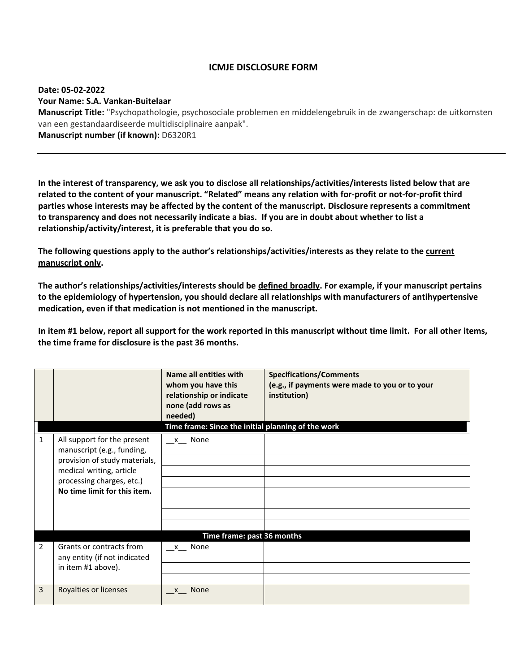## **ICMJE DISCLOSURE FORM**

## **Date: 05-02-2022 Your Name: S.A. Vankan-Buitelaar**

**Manuscript Title:** "Psychopathologie, psychosociale problemen en middelengebruik in de zwangerschap: de uitkomsten van een gestandaardiseerde multidisciplinaire aanpak". **Manuscript number (if known):** D6320R1

**In the interest of transparency, we ask you to disclose all relationships/activities/interests listed below that are related to the content of your manuscript. "Related" means any relation with for-profit or not-for-profit third parties whose interests may be affected by the content of the manuscript. Disclosure represents a commitment to transparency and does not necessarily indicate a bias. If you are in doubt about whether to list a relationship/activity/interest, it is preferable that you do so.** 

**The following questions apply to the author's relationships/activities/interests as they relate to the current manuscript only.**

**The author's relationships/activities/interests should be defined broadly. For example, if your manuscript pertains to the epidemiology of hypertension, you should declare all relationships with manufacturers of antihypertensive medication, even if that medication is not mentioned in the manuscript.** 

**In item #1 below, report all support for the work reported in this manuscript without time limit. For all other items, the time frame for disclosure is the past 36 months.** 

|              |                                                                                                                                                                                     | Name all entities with<br>whom you have this<br>relationship or indicate<br>none (add rows as<br>needed)<br>Time frame: Since the initial planning of the work | <b>Specifications/Comments</b><br>(e.g., if payments were made to you or to your<br>institution) |  |  |
|--------------|-------------------------------------------------------------------------------------------------------------------------------------------------------------------------------------|----------------------------------------------------------------------------------------------------------------------------------------------------------------|--------------------------------------------------------------------------------------------------|--|--|
| $\mathbf{1}$ | All support for the present<br>manuscript (e.g., funding,<br>provision of study materials,<br>medical writing, article<br>processing charges, etc.)<br>No time limit for this item. | x None                                                                                                                                                         |                                                                                                  |  |  |
|              | Time frame: past 36 months                                                                                                                                                          |                                                                                                                                                                |                                                                                                  |  |  |
| 2            | Grants or contracts from<br>any entity (if not indicated<br>in item #1 above).                                                                                                      | x None                                                                                                                                                         |                                                                                                  |  |  |
| 3            | Royalties or licenses                                                                                                                                                               | None<br>$\mathsf{X}$                                                                                                                                           |                                                                                                  |  |  |